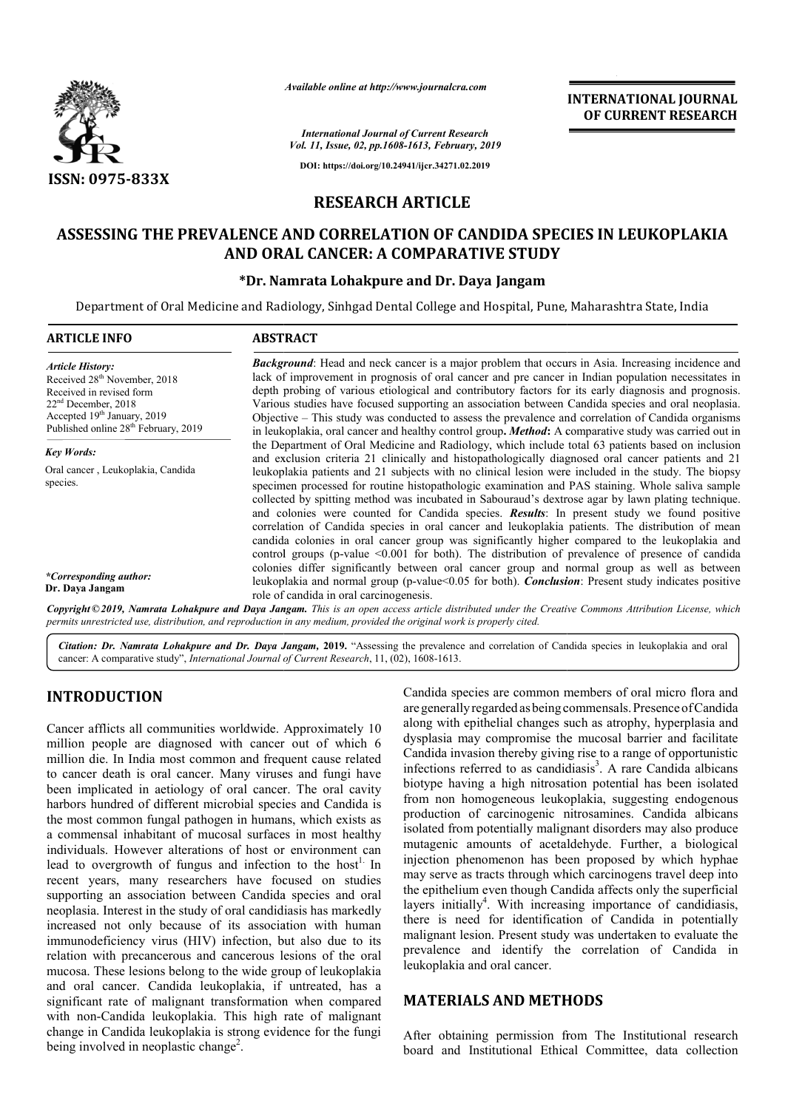

*Available online at http://www.journalcra.com*

# **RESEARCH ARTICLE**

## **ASSESSING THE PREVALENCE AND CORRELATION OF CANDIDA SPECIES IN LEUKOPLAKIA ASSESSING AND ORAL CANCER: A COMPARATIVE STUDY**

#### **\*Dr. Namrata Lohakpure and Dr. Daya Jangam**

|                                                                                                                                                                                                                                                                                                                                                                                                                                                                                                                                                                                                                                                                                                                                                                                                                                                                                                                                                                                                                                                                                                                                                                                                                                                                                                                | unuvic viime ui nup.//www.jvurnuicru.com                                                                                                                                                                                                                                                                                                                                                                                                                                                                                                                                                                                                     |                                                                                                                                                                                                                                                                                                                                                                                                                                                                                                                                                                                                                                                                                                                      | <b>INTERNATIONAL JOURNAL</b><br>OF CURRENT RESEARCH                                                                                                                                                                                                                                                                                                                                                                                                                                                                                                                                                                                                                                                                                                                                                                                                                                                                                                                                                                                                                            |  |  |  |  |
|----------------------------------------------------------------------------------------------------------------------------------------------------------------------------------------------------------------------------------------------------------------------------------------------------------------------------------------------------------------------------------------------------------------------------------------------------------------------------------------------------------------------------------------------------------------------------------------------------------------------------------------------------------------------------------------------------------------------------------------------------------------------------------------------------------------------------------------------------------------------------------------------------------------------------------------------------------------------------------------------------------------------------------------------------------------------------------------------------------------------------------------------------------------------------------------------------------------------------------------------------------------------------------------------------------------|----------------------------------------------------------------------------------------------------------------------------------------------------------------------------------------------------------------------------------------------------------------------------------------------------------------------------------------------------------------------------------------------------------------------------------------------------------------------------------------------------------------------------------------------------------------------------------------------------------------------------------------------|----------------------------------------------------------------------------------------------------------------------------------------------------------------------------------------------------------------------------------------------------------------------------------------------------------------------------------------------------------------------------------------------------------------------------------------------------------------------------------------------------------------------------------------------------------------------------------------------------------------------------------------------------------------------------------------------------------------------|--------------------------------------------------------------------------------------------------------------------------------------------------------------------------------------------------------------------------------------------------------------------------------------------------------------------------------------------------------------------------------------------------------------------------------------------------------------------------------------------------------------------------------------------------------------------------------------------------------------------------------------------------------------------------------------------------------------------------------------------------------------------------------------------------------------------------------------------------------------------------------------------------------------------------------------------------------------------------------------------------------------------------------------------------------------------------------|--|--|--|--|
|                                                                                                                                                                                                                                                                                                                                                                                                                                                                                                                                                                                                                                                                                                                                                                                                                                                                                                                                                                                                                                                                                                                                                                                                                                                                                                                |                                                                                                                                                                                                                                                                                                                                                                                                                                                                                                                                                                                                                                              | <b>International Journal of Current Research</b><br>Vol. 11, Issue, 02, pp.1608-1613, February, 2019                                                                                                                                                                                                                                                                                                                                                                                                                                                                                                                                                                                                                 |                                                                                                                                                                                                                                                                                                                                                                                                                                                                                                                                                                                                                                                                                                                                                                                                                                                                                                                                                                                                                                                                                |  |  |  |  |
| ISSN: 0975-833X                                                                                                                                                                                                                                                                                                                                                                                                                                                                                                                                                                                                                                                                                                                                                                                                                                                                                                                                                                                                                                                                                                                                                                                                                                                                                                |                                                                                                                                                                                                                                                                                                                                                                                                                                                                                                                                                                                                                                              | DOI: https://doi.org/10.24941/ijcr.34271.02.2019                                                                                                                                                                                                                                                                                                                                                                                                                                                                                                                                                                                                                                                                     |                                                                                                                                                                                                                                                                                                                                                                                                                                                                                                                                                                                                                                                                                                                                                                                                                                                                                                                                                                                                                                                                                |  |  |  |  |
|                                                                                                                                                                                                                                                                                                                                                                                                                                                                                                                                                                                                                                                                                                                                                                                                                                                                                                                                                                                                                                                                                                                                                                                                                                                                                                                |                                                                                                                                                                                                                                                                                                                                                                                                                                                                                                                                                                                                                                              | <b>RESEARCH ARTICLE</b>                                                                                                                                                                                                                                                                                                                                                                                                                                                                                                                                                                                                                                                                                              |                                                                                                                                                                                                                                                                                                                                                                                                                                                                                                                                                                                                                                                                                                                                                                                                                                                                                                                                                                                                                                                                                |  |  |  |  |
|                                                                                                                                                                                                                                                                                                                                                                                                                                                                                                                                                                                                                                                                                                                                                                                                                                                                                                                                                                                                                                                                                                                                                                                                                                                                                                                |                                                                                                                                                                                                                                                                                                                                                                                                                                                                                                                                                                                                                                              |                                                                                                                                                                                                                                                                                                                                                                                                                                                                                                                                                                                                                                                                                                                      |                                                                                                                                                                                                                                                                                                                                                                                                                                                                                                                                                                                                                                                                                                                                                                                                                                                                                                                                                                                                                                                                                |  |  |  |  |
| ASSESSING THE PREVALENCE AND CORRELATION OF CANDIDA SPECIES IN LEUKOPLAKIA                                                                                                                                                                                                                                                                                                                                                                                                                                                                                                                                                                                                                                                                                                                                                                                                                                                                                                                                                                                                                                                                                                                                                                                                                                     |                                                                                                                                                                                                                                                                                                                                                                                                                                                                                                                                                                                                                                              | AND ORAL CANCER: A COMPARATIVE STUDY                                                                                                                                                                                                                                                                                                                                                                                                                                                                                                                                                                                                                                                                                 |                                                                                                                                                                                                                                                                                                                                                                                                                                                                                                                                                                                                                                                                                                                                                                                                                                                                                                                                                                                                                                                                                |  |  |  |  |
|                                                                                                                                                                                                                                                                                                                                                                                                                                                                                                                                                                                                                                                                                                                                                                                                                                                                                                                                                                                                                                                                                                                                                                                                                                                                                                                |                                                                                                                                                                                                                                                                                                                                                                                                                                                                                                                                                                                                                                              | *Dr. Namrata Lohakpure and Dr. Daya Jangam                                                                                                                                                                                                                                                                                                                                                                                                                                                                                                                                                                                                                                                                           |                                                                                                                                                                                                                                                                                                                                                                                                                                                                                                                                                                                                                                                                                                                                                                                                                                                                                                                                                                                                                                                                                |  |  |  |  |
|                                                                                                                                                                                                                                                                                                                                                                                                                                                                                                                                                                                                                                                                                                                                                                                                                                                                                                                                                                                                                                                                                                                                                                                                                                                                                                                |                                                                                                                                                                                                                                                                                                                                                                                                                                                                                                                                                                                                                                              | Department of Oral Medicine and Radiology, Sinhgad Dental College and Hospital, Pune, Maharashtra State, India                                                                                                                                                                                                                                                                                                                                                                                                                                                                                                                                                                                                       |                                                                                                                                                                                                                                                                                                                                                                                                                                                                                                                                                                                                                                                                                                                                                                                                                                                                                                                                                                                                                                                                                |  |  |  |  |
| <b>ARTICLE INFO</b>                                                                                                                                                                                                                                                                                                                                                                                                                                                                                                                                                                                                                                                                                                                                                                                                                                                                                                                                                                                                                                                                                                                                                                                                                                                                                            | <b>ABSTRACT</b>                                                                                                                                                                                                                                                                                                                                                                                                                                                                                                                                                                                                                              |                                                                                                                                                                                                                                                                                                                                                                                                                                                                                                                                                                                                                                                                                                                      |                                                                                                                                                                                                                                                                                                                                                                                                                                                                                                                                                                                                                                                                                                                                                                                                                                                                                                                                                                                                                                                                                |  |  |  |  |
| <b>Article History:</b><br>Received 28 <sup>th</sup> November, 2018<br>Received in revised form<br>22 <sup>nd</sup> December, 2018<br>Accepted 19th January, 2019<br>Published online 28 <sup>th</sup> February, 2019                                                                                                                                                                                                                                                                                                                                                                                                                                                                                                                                                                                                                                                                                                                                                                                                                                                                                                                                                                                                                                                                                          | <b>Background:</b> Head and neck cancer is a major problem that occurs in Asia. Increasing incidence and<br>lack of improvement in prognosis of oral cancer and pre cancer in Indian population necessitates in<br>depth probing of various etiological and contributory factors for its early diagnosis and prognosis.<br>Various studies have focused supporting an association between Candida species and oral neoplasia.<br>Objective – This study was conducted to assess the prevalence and correlation of Candida organisms<br>in leukoplakia, oral cancer and healthy control group. Method: A comparative study was carried out in |                                                                                                                                                                                                                                                                                                                                                                                                                                                                                                                                                                                                                                                                                                                      |                                                                                                                                                                                                                                                                                                                                                                                                                                                                                                                                                                                                                                                                                                                                                                                                                                                                                                                                                                                                                                                                                |  |  |  |  |
| <b>Key Words:</b>                                                                                                                                                                                                                                                                                                                                                                                                                                                                                                                                                                                                                                                                                                                                                                                                                                                                                                                                                                                                                                                                                                                                                                                                                                                                                              |                                                                                                                                                                                                                                                                                                                                                                                                                                                                                                                                                                                                                                              |                                                                                                                                                                                                                                                                                                                                                                                                                                                                                                                                                                                                                                                                                                                      | the Department of Oral Medicine and Radiology, which include total 63 patients based on inclusion<br>and exclusion criteria 21 clinically and histopathologically diagnosed oral cancer patients and 21                                                                                                                                                                                                                                                                                                                                                                                                                                                                                                                                                                                                                                                                                                                                                                                                                                                                        |  |  |  |  |
| Oral cancer, Leukoplakia, Candida<br>species.                                                                                                                                                                                                                                                                                                                                                                                                                                                                                                                                                                                                                                                                                                                                                                                                                                                                                                                                                                                                                                                                                                                                                                                                                                                                  |                                                                                                                                                                                                                                                                                                                                                                                                                                                                                                                                                                                                                                              | leukoplakia patients and 21 subjects with no clinical lesion were included in the study. The biopsy<br>specimen processed for routine histopathologic examination and PAS staining. Whole saliva sample<br>collected by spitting method was incubated in Sabouraud's dextrose agar by lawn plating technique.<br>and colonies were counted for Candida species. Results: In present study we found positive<br>correlation of Candida species in oral cancer and leukoplakia patients. The distribution of mean<br>candida colonies in oral cancer group was significantly higher compared to the leukoplakia and<br>control groups (p-value <0.001 for both). The distribution of prevalence of presence of candida |                                                                                                                                                                                                                                                                                                                                                                                                                                                                                                                                                                                                                                                                                                                                                                                                                                                                                                                                                                                                                                                                                |  |  |  |  |
| *Corresponding author:<br>Dr. Daya Jangam                                                                                                                                                                                                                                                                                                                                                                                                                                                                                                                                                                                                                                                                                                                                                                                                                                                                                                                                                                                                                                                                                                                                                                                                                                                                      | role of candida in oral carcinogenesis.                                                                                                                                                                                                                                                                                                                                                                                                                                                                                                                                                                                                      |                                                                                                                                                                                                                                                                                                                                                                                                                                                                                                                                                                                                                                                                                                                      | colonies differ significantly between oral cancer group and normal group as well as between<br>leukoplakia and normal group (p-value<0.05 for both). <i>Conclusion</i> : Present study indicates positive                                                                                                                                                                                                                                                                                                                                                                                                                                                                                                                                                                                                                                                                                                                                                                                                                                                                      |  |  |  |  |
| permits unrestricted use, distribution, and reproduction in any medium, provided the original work is properly cited.                                                                                                                                                                                                                                                                                                                                                                                                                                                                                                                                                                                                                                                                                                                                                                                                                                                                                                                                                                                                                                                                                                                                                                                          |                                                                                                                                                                                                                                                                                                                                                                                                                                                                                                                                                                                                                                              |                                                                                                                                                                                                                                                                                                                                                                                                                                                                                                                                                                                                                                                                                                                      | Copyright © 2019, Namrata Lohakpure and Daya Jangam. This is an open access article distributed under the Creative Commons Attribution License, which                                                                                                                                                                                                                                                                                                                                                                                                                                                                                                                                                                                                                                                                                                                                                                                                                                                                                                                          |  |  |  |  |
| cancer: A comparative study", International Journal of Current Research, 11, (02), 1608-1613.                                                                                                                                                                                                                                                                                                                                                                                                                                                                                                                                                                                                                                                                                                                                                                                                                                                                                                                                                                                                                                                                                                                                                                                                                  |                                                                                                                                                                                                                                                                                                                                                                                                                                                                                                                                                                                                                                              |                                                                                                                                                                                                                                                                                                                                                                                                                                                                                                                                                                                                                                                                                                                      | Citation: Dr. Namrata Lohakpure and Dr. Daya Jangam, 2019. "Assessing the prevalence and correlation of Candida species in leukoplakia and oral                                                                                                                                                                                                                                                                                                                                                                                                                                                                                                                                                                                                                                                                                                                                                                                                                                                                                                                                |  |  |  |  |
| <b>INTRODUCTION</b>                                                                                                                                                                                                                                                                                                                                                                                                                                                                                                                                                                                                                                                                                                                                                                                                                                                                                                                                                                                                                                                                                                                                                                                                                                                                                            |                                                                                                                                                                                                                                                                                                                                                                                                                                                                                                                                                                                                                                              |                                                                                                                                                                                                                                                                                                                                                                                                                                                                                                                                                                                                                                                                                                                      | Candida species are common members of oral micro flora and<br>are generally regarded as being commensals. Presence of Candida                                                                                                                                                                                                                                                                                                                                                                                                                                                                                                                                                                                                                                                                                                                                                                                                                                                                                                                                                  |  |  |  |  |
| Cancer afflicts all communities worldwide. Approximately 10<br>million people are diagnosed with cancer out of which 6<br>million die. In India most common and frequent cause related<br>to cancer death is oral cancer. Many viruses and fungi have<br>been implicated in aetiology of oral cancer. The oral cavity<br>harbors hundred of different microbial species and Candida is<br>the most common fungal pathogen in humans, which exists as<br>a commensal inhabitant of mucosal surfaces in most healthy<br>individuals. However alterations of host or environment can<br>lead to overgrowth of fungus and infection to the host <sup>1</sup> . In<br>recent years, many researchers have focused on studies<br>supporting an association between Candida species and oral<br>neoplasia. Interest in the study of oral candidiasis has markedly<br>increased not only because of its association with human<br>immunodeficiency virus (HIV) infection, but also due to its<br>relation with precancerous and cancerous lesions of the oral<br>mucosa. These lesions belong to the wide group of leukoplakia<br>and oral cancer. Candida leukoplakia, if untreated, has a<br>significant rate of malignant transformation when compared<br>with non-Candida leukoplakia. This high rate of malignant |                                                                                                                                                                                                                                                                                                                                                                                                                                                                                                                                                                                                                                              | leukoplakia and oral cancer.<br><b>MATERIALS AND METHODS</b>                                                                                                                                                                                                                                                                                                                                                                                                                                                                                                                                                                                                                                                         | along with epithelial changes such as atrophy, hyperplasia and<br>dysplasia may compromise the mucosal barrier and facilitate<br>Candida invasion thereby giving rise to a range of opportunistic<br>infections referred to as candidiasis <sup>3</sup> . A rare Candida albicans<br>biotype having a high nitrosation potential has been isolated<br>from non homogeneous leukoplakia, suggesting endogenous<br>production of carcinogenic nitrosamines. Candida albicans<br>isolated from potentially malignant disorders may also produce<br>mutagenic amounts of acetaldehyde. Further, a biological<br>injection phenomenon has been proposed by which hyphae<br>may serve as tracts through which carcinogens travel deep into<br>the epithelium even though Candida affects only the superficial<br>layers initially <sup>4</sup> . With increasing importance of candidiasis,<br>there is need for identification of Candida in potentially<br>malignant lesion. Present study was undertaken to evaluate the<br>prevalence and identify the correlation of Candida in |  |  |  |  |
| change in Candida leukoplakia is strong evidence for the fungi<br>being involved in neoplastic change <sup>2</sup> .                                                                                                                                                                                                                                                                                                                                                                                                                                                                                                                                                                                                                                                                                                                                                                                                                                                                                                                                                                                                                                                                                                                                                                                           |                                                                                                                                                                                                                                                                                                                                                                                                                                                                                                                                                                                                                                              |                                                                                                                                                                                                                                                                                                                                                                                                                                                                                                                                                                                                                                                                                                                      | After obtaining permission from The Institutional research<br>board and Institutional Ethical Committee, data collection                                                                                                                                                                                                                                                                                                                                                                                                                                                                                                                                                                                                                                                                                                                                                                                                                                                                                                                                                       |  |  |  |  |

## **INTRODUCTION**

## **MATERIALS AND METHODS METHODS**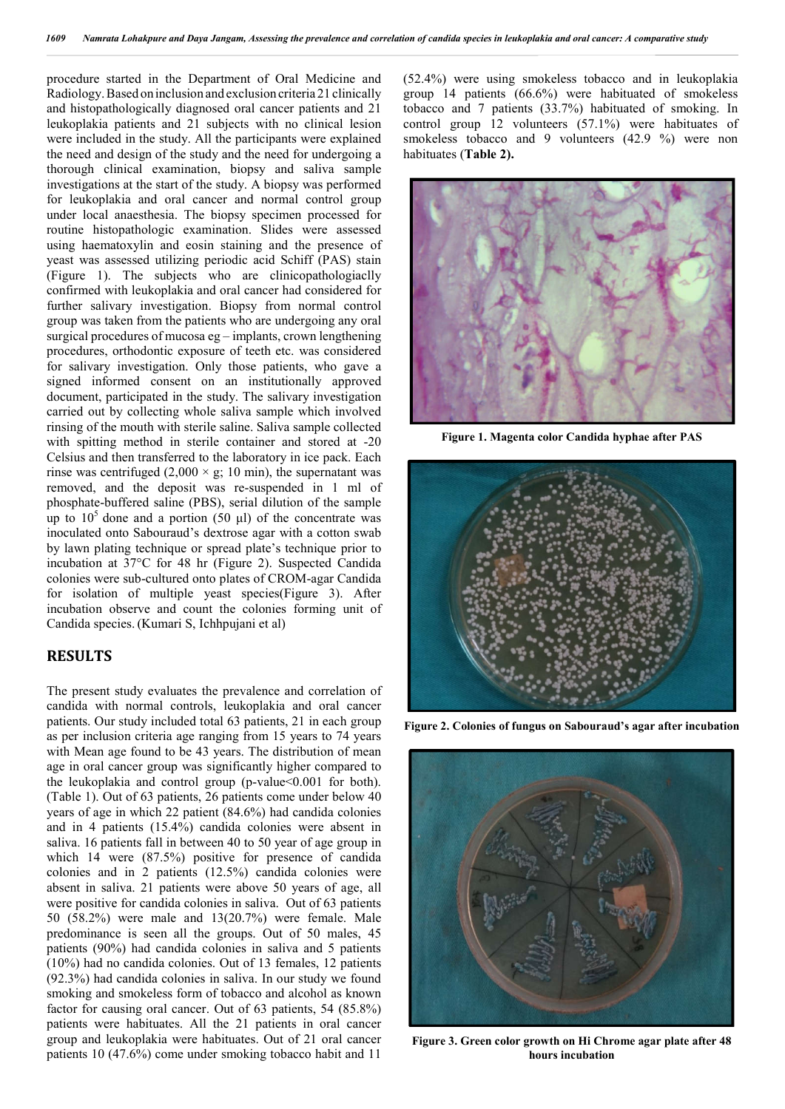procedure started in the Department of Oral Medicine and Radiology.Based on inclusion and exclusion criteria 21 clinically and histopathologically diagnosed oral cancer patients and 21 leukoplakia patients and 21 subjects with no clinical lesion were included in the study. All the participants were explained the need and design of the study and the need for undergoing a thorough clinical examination, biopsy and saliva sample investigations at the start of the study. A biopsy was performed for leukoplakia and oral cancer and normal control group under local anaesthesia. The biopsy specimen processed for routine histopathologic examination. Slides were assessed using haematoxylin and eosin staining and the presence of yeast was assessed utilizing periodic acid Schiff (PAS) stain (Figure 1). The subjects who are clinicopathologiaclly confirmed with leukoplakia and oral cancer had considered for further salivary investigation. Biopsy from normal control group was taken from the patients who are undergoing any oral surgical procedures of mucosa eg – implants, crown lengthening procedures, orthodontic exposure of teeth etc. was considered for salivary investigation. Only those patients, who gave a signed informed consent on an institutionally approved document, participated in the study. The salivary investigation carried out by collecting whole saliva sample which involved rinsing of the mouth with sterile saline. Saliva sample collected with spitting method in sterile container and stored at -20 Celsius and then transferred to the laboratory in ice pack. Each rinse was centrifuged  $(2,000 \times g; 10 \text{ min})$ , the supernatant was removed, and the deposit was re-suspended in 1 ml of phosphate-buffered saline (PBS), serial dilution of the sample up to  $10^5$  done and a portion (50 μl) of the concentrate was inoculated onto Sabouraud's dextrose agar with a cotton swab by lawn plating technique or spread plate's technique prior to incubation at 37°C for 48 hr (Figure 2). Suspected Candida colonies were sub-cultured onto plates of CROM-agar Candida for isolation of multiple yeast species(Figure 3). After incubation observe and count the colonies forming unit of Candida species. (Kumari S, Ichhpujani et al)

#### **RESULTS**

The present study evaluates the prevalence and correlation of candida with normal controls, leukoplakia and oral cancer patients. Our study included total 63 patients, 21 in each group as per inclusion criteria age ranging from 15 years to 74 years with Mean age found to be 43 years. The distribution of mean age in oral cancer group was significantly higher compared to the leukoplakia and control group (p-value<0.001 for both). (Table 1). Out of 63 patients, 26 patients come under below 40 years of age in which 22 patient (84.6%) had candida colonies and in 4 patients (15.4%) candida colonies were absent in saliva. 16 patients fall in between 40 to 50 year of age group in which 14 were (87.5%) positive for presence of candida colonies and in 2 patients (12.5%) candida colonies were absent in saliva. 21 patients were above 50 years of age, all were positive for candida colonies in saliva. Out of 63 patients 50 (58.2%) were male and 13(20.7%) were female. Male predominance is seen all the groups. Out of 50 males, 45 patients (90%) had candida colonies in saliva and 5 patients (10%) had no candida colonies. Out of 13 females, 12 patients (92.3%) had candida colonies in saliva. In our study we found smoking and smokeless form of tobacco and alcohol as known factor for causing oral cancer. Out of 63 patients, 54 (85.8%) patients were habituates. All the 21 patients in oral cancer group and leukoplakia were habituates. Out of 21 oral cancer patients 10 (47.6%) come under smoking tobacco habit and 11

(52.4%) were using smokeless tobacco and in leukoplakia group 14 patients (66.6%) were habituated of smokeless tobacco and 7 patients (33.7%) habituated of smoking. In control group 12 volunteers (57.1%) were habituates of smokeless tobacco and 9 volunteers (42.9 %) were non habituates (**Table 2).**



**Figure 1. Magenta color Candida hyphae after PAS**



**Figure 2. Colonies of fungus on Sabouraud's agar after incubation**



**Figure 3. Green color growth on Hi Chrome agar plate after 48 hours incubation**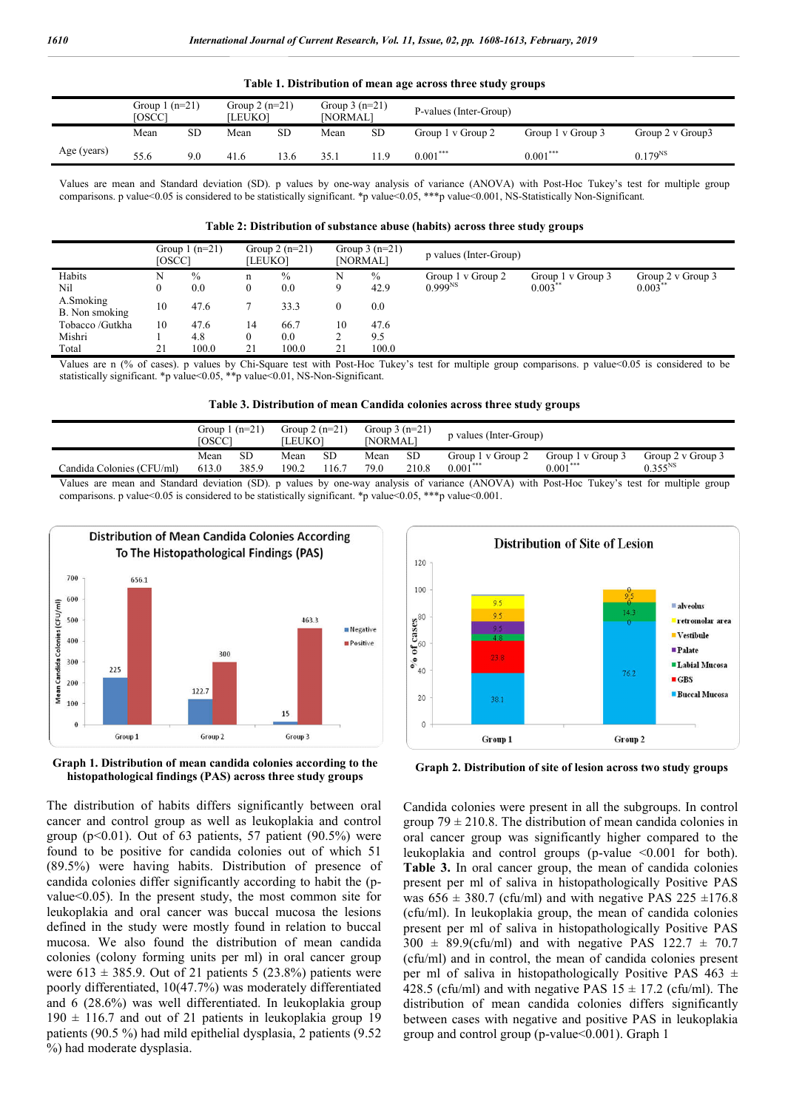| Table 1. Distribution of incan age across three study groups |                            |     |                            |     |                             |           |                        |                   |                  |  |  |
|--------------------------------------------------------------|----------------------------|-----|----------------------------|-----|-----------------------------|-----------|------------------------|-------------------|------------------|--|--|
|                                                              | Group $1$ (n=21)<br>[OSCC] |     | Group $2(n=21)$<br>[LEUKO] |     | Group $3(n=21)$<br>[NORMAL] |           | P-values (Inter-Group) |                   |                  |  |  |
|                                                              | Mean                       | SD  | Mean                       | SD  | Mean                        | <b>SD</b> | Group 1 v Group 2      | Group 1 v Group 3 | Group 2 v Group3 |  |  |
| Age (years)                                                  | 55.6                       | 9.0 | 41.6                       | 3.6 | 35.1                        | 11.9      | $0.001***$             | $0.001***$        | $0.179^{NS}$     |  |  |

### **Table 1. Distribution of mean age across three study groups**

Values are mean and Standard deviation (SD). p values by one-way analysis of variance (ANOVA) with Post-Hoc Tukey's test for multiple group comparisons. p value<0.05 is considered to be statistically significant. \*p value<0.05, \*\*\*p value<0.001, NS-Statistically Non-Significant*.*

#### **Table 2: Distribution of substance abuse (habits) across three study groups**

|                             | Group $1$ (n=21)<br>[OSCC] |       | Group $2(n=21)$<br>[LEUKO] |       | Group $3(n=21)$<br>[NORMAL] |       | p values (Inter-Group) |                   |                   |
|-----------------------------|----------------------------|-------|----------------------------|-------|-----------------------------|-------|------------------------|-------------------|-------------------|
| Habits                      | N                          | $\%$  | n                          | $\%$  | N                           | $\%$  | Group 1 v Group 2      | Group 1 v Group 3 | Group 2 v Group 3 |
| Nil                         | 0                          | 0.0   |                            | 0.0   | a                           | 42.9  | $0.999^{NS}$           | $0.003***$        | 0.003             |
| A.Smoking<br>B. Non smoking | 10                         | 47.6  |                            | 33.3  |                             | 0.0   |                        |                   |                   |
| Tobacco /Gutkha             | 10                         | 47.6  | 14                         | 66.7  | 10                          | 47.6  |                        |                   |                   |
| Mishri                      |                            | 4.8   |                            | 0.0   |                             | 9.5   |                        |                   |                   |
| Total                       | 21                         | 100.0 | 21                         | 100.0 | 21                          | 100.0 |                        |                   |                   |

Values are n (% of cases). p values by Chi-Square test with Post-Hoc Tukey's test for multiple group comparisons. p value<0.05 is considered to be statistically significant. \*p value<0.05, \*\*p value<0.01, NS-Non-Significant.

**Table 3. Distribution of mean Candida colonies across three study groups**

|                                                                       | Group $1(n=21)$<br>[OSCC] |             | Group $2(n=21)$<br>LEUKO <sub>1</sub> |                    | Group $3(n=21)$<br>[NORMAL] |                    | p values (Inter-Group)          |                                 |                                   |
|-----------------------------------------------------------------------|---------------------------|-------------|---------------------------------------|--------------------|-----------------------------|--------------------|---------------------------------|---------------------------------|-----------------------------------|
| Candida Colonies (CFU/ml)                                             | Mean<br>613.0             | SD<br>385.9 | Mean<br>190.2                         | <b>SD</b><br>116.7 | Mean<br>79.0                | <b>SD</b><br>210.8 | Group 1 v Group 2<br>$0.001***$ | Group 1 v Group 3<br>$0.001***$ | Group 2 v Group 3<br>$0.355^{NS}$ |
| $V_1$ (CD)<br>$(1.1)$ $(1.1)$ $(1.1)$ $(1.1)$ $(1.1)$ $(1.1)$ $(1.1)$ |                           |             |                                       |                    |                             |                    |                                 |                                 |                                   |

Values are mean and Standard deviation (SD). p values by one-way analysis of variance (ANOVA) with Post-Hoc Tukey's test for multiple group comparisons. p value<0.05 is considered to be statistically significant. \*p value<0.05, \*\*\*p value<0.001.





The distribution of habits differs significantly between oral cancer and control group as well as leukoplakia and control group ( $p<0.01$ ). Out of 63 patients, 57 patient ( $90.5\%$ ) were found to be positive for candida colonies out of which 51 (89.5%) were having habits. Distribution of presence of candida colonies differ significantly according to habit the (pvalue<0.05). In the present study, the most common site for leukoplakia and oral cancer was buccal mucosa the lesions defined in the study were mostly found in relation to buccal mucosa. We also found the distribution of mean candida colonies (colony forming units per ml) in oral cancer group were  $613 \pm 385.9$ . Out of 21 patients 5 (23.8%) patients were poorly differentiated, 10(47.7%) was moderately differentiated and 6 (28.6%) was well differentiated. In leukoplakia group  $190 \pm 116.7$  and out of 21 patients in leukoplakia group 19 patients (90.5 %) had mild epithelial dysplasia, 2 patients (9.52 %) had moderate dysplasia.



**Graph 2. Distribution of site of lesion across two study groups**

Candida colonies were present in all the subgroups. In control group  $79 \pm 210.8$ . The distribution of mean candida colonies in oral cancer group was significantly higher compared to the leukoplakia and control groups (p-value <0.001 for both). **Table 3.** In oral cancer group, the mean of candida colonies present per ml of saliva in histopathologically Positive PAS was  $656 \pm 380.7$  (cfu/ml) and with negative PAS 225  $\pm 176.8$ (cfu/ml). In leukoplakia group, the mean of candida colonies present per ml of saliva in histopathologically Positive PAS  $300 \pm 89.9$ (cfu/ml) and with negative PAS 122.7  $\pm$  70.7 (cfu/ml) and in control, the mean of candida colonies present per ml of saliva in histopathologically Positive PAS  $463 \pm$ 428.5 (cfu/ml) and with negative PAS  $15 \pm 17.2$  (cfu/ml). The distribution of mean candida colonies differs significantly between cases with negative and positive PAS in leukoplakia group and control group (p-value<0.001). Graph 1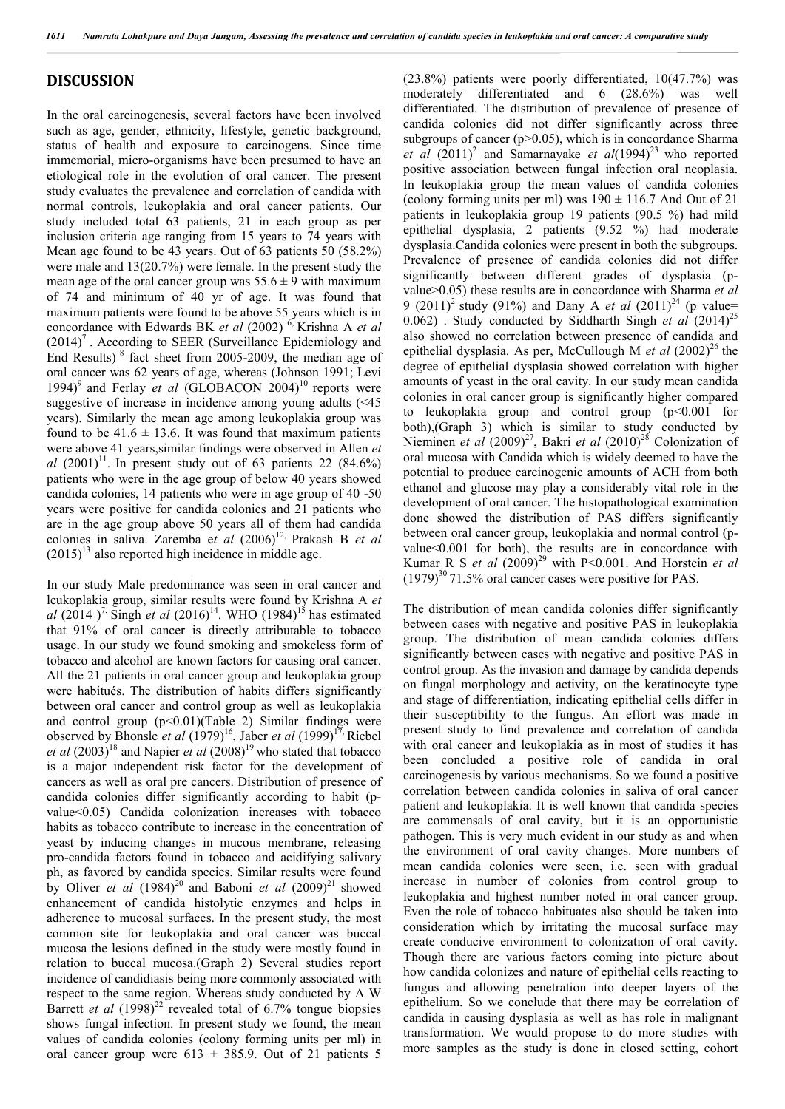#### **DISCUSSION**

In the oral carcinogenesis, several factors have been involved such as age, gender, ethnicity, lifestyle, genetic background, status of health and exposure to carcinogens. Since time immemorial, micro-organisms have been presumed to have an etiological role in the evolution of oral cancer. The present study evaluates the prevalence and correlation of candida with normal controls, leukoplakia and oral cancer patients. Our study included total 63 patients, 21 in each group as per inclusion criteria age ranging from 15 years to 74 years with Mean age found to be 43 years. Out of 63 patients 50 (58.2%) were male and 13(20.7%) were female. In the present study the mean age of the oral cancer group was  $55.6 \pm 9$  with maximum of 74 and minimum of 40 yr of age. It was found that maximum patients were found to be above 55 years which is in concordance with Edwards BK *et al* (2002) 6, Krishna A *et al*  $(2014)^7$ . According to SEER (Surveillance Epidemiology and End Results) <sup>8</sup> fact sheet from 2005-2009, the median age of oral cancer was 62 years of age, whereas (Johnson 1991; Levi 1994)<sup>9</sup> and Ferlay *et al* (GLOBACON 2004)<sup>10</sup> reports were suggestive of increase in incidence among young adults (<45 years). Similarly the mean age among leukoplakia group was found to be  $41.6 \pm 13.6$ . It was found that maximum patients were above 41 years,similar findings were observed in Allen *et al*  $(2001)^{11}$ . In present study out of 63 patients 22  $(84.6\%)$ patients who were in the age group of below 40 years showed candida colonies, 14 patients who were in age group of 40 -50 years were positive for candida colonies and 21 patients who are in the age group above 50 years all of them had candida colonies in saliva. Zaremba et al  $(2006)^{12}$ , Prakash B *et al*  $(2015)^{13}$  also reported high incidence in middle age.

In our study Male predominance was seen in oral cancer and leukoplakia group, similar results were found by Krishna A *et al* (2014 )<sup>7</sup>, Singh *et al* (2016)<sup>14</sup>. WHO (1984)<sup>15</sup> has estimated that 91% of oral cancer is directly attributable to tobacco usage. In our study we found smoking and smokeless form of tobacco and alcohol are known factors for causing oral cancer. All the 21 patients in oral cancer group and leukoplakia group were habitués. The distribution of habits differs significantly between oral cancer and control group as well as leukoplakia and control group  $(p<0.01)$ (Table 2) Similar findings were observed by Bhonsle *et al* (1979)<sup>16</sup>, Jaber *et al* (1999)<sup>17,</sup> Riebel *et al*  $(2003)^{18}$  and Napier *et al*  $(2008)^{19}$  who stated that tobacco is a major independent risk factor for the development of cancers as well as oral pre cancers. Distribution of presence of candida colonies differ significantly according to habit (pvalue<0.05) Candida colonization increases with tobacco habits as tobacco contribute to increase in the concentration of yeast by inducing changes in mucous membrane, releasing pro-candida factors found in tobacco and acidifying salivary ph, as favored by candida species. Similar results were found by Oliver *et al* (1984)<sup>20</sup> and Baboni *et al* (2009)<sup>21</sup> showed enhancement of candida histolytic enzymes and helps in adherence to mucosal surfaces. In the present study, the most common site for leukoplakia and oral cancer was buccal mucosa the lesions defined in the study were mostly found in relation to buccal mucosa.(Graph 2) Several studies report incidence of candidiasis being more commonly associated with respect to the same region. Whereas study conducted by A W Barrett *et al*  $(1998)^{22}$  revealed total of 6.7% tongue biopsies shows fungal infection. In present study we found, the mean values of candida colonies (colony forming units per ml) in oral cancer group were  $613 \pm 385.9$ . Out of 21 patients 5

(23.8%) patients were poorly differentiated, 10(47.7%) was moderately differentiated and 6 (28.6%) was well differentiated. The distribution of prevalence of presence of candida colonies did not differ significantly across three subgroups of cancer (p>0.05), which is in concordance Sharma *et al* (2011)<sup>2</sup> and Samarnayake *et al*(1994)<sup>23</sup> who reported positive association between fungal infection oral neoplasia. In leukoplakia group the mean values of candida colonies (colony forming units per ml) was  $190 \pm 116.7$  And Out of 21 patients in leukoplakia group 19 patients (90.5 %) had mild epithelial dysplasia, 2 patients (9.52 %) had moderate dysplasia.Candida colonies were present in both the subgroups. Prevalence of presence of candida colonies did not differ significantly between different grades of dysplasia (pvalue>0.05) these results are in concordance with Sharma *et al* 9 (2011)<sup>2</sup> study (91%) and Dany A *et al* (2011)<sup>24</sup> (p value= 0.062) . Study conducted by Siddharth Singh *et al* (2014)<sup>25</sup> also showed no correlation between presence of candida and epithelial dysplasia. As per, McCullough M *et al*  $(2002)^{26}$  the degree of epithelial dysplasia showed correlation with higher amounts of yeast in the oral cavity. In our study mean candida colonies in oral cancer group is significantly higher compared to leukoplakia group and control group  $(p<0.001$  for both),(Graph 3) which is similar to study conducted by Nieminen *et al* (2009)<sup>27</sup>, Bakri *et al* (2010)<sup>28</sup> Colonization of oral mucosa with Candida which is widely deemed to have the potential to produce carcinogenic amounts of ACH from both ethanol and glucose may play a considerably vital role in the development of oral cancer. The histopathological examination done showed the distribution of PAS differs significantly between oral cancer group, leukoplakia and normal control (pvalue<0.001 for both), the results are in concordance with Kumar R S *et al*  $(2009)^{29}$  with P<0.001. And Horstein *et al*  $(1979)^{30}$  71.5% oral cancer cases were positive for PAS.

The distribution of mean candida colonies differ significantly between cases with negative and positive PAS in leukoplakia group. The distribution of mean candida colonies differs significantly between cases with negative and positive PAS in control group. As the invasion and damage by candida depends on fungal morphology and activity, on the keratinocyte type and stage of differentiation, indicating epithelial cells differ in their susceptibility to the fungus. An effort was made in present study to find prevalence and correlation of candida with oral cancer and leukoplakia as in most of studies it has been concluded a positive role of candida in oral carcinogenesis by various mechanisms. So we found a positive correlation between candida colonies in saliva of oral cancer patient and leukoplakia. It is well known that candida species are commensals of oral cavity, but it is an opportunistic pathogen. This is very much evident in our study as and when the environment of oral cavity changes. More numbers of mean candida colonies were seen, i.e. seen with gradual increase in number of colonies from control group to leukoplakia and highest number noted in oral cancer group. Even the role of tobacco habituates also should be taken into consideration which by irritating the mucosal surface may create conducive environment to colonization of oral cavity. Though there are various factors coming into picture about how candida colonizes and nature of epithelial cells reacting to fungus and allowing penetration into deeper layers of the epithelium. So we conclude that there may be correlation of candida in causing dysplasia as well as has role in malignant transformation. We would propose to do more studies with more samples as the study is done in closed setting, cohort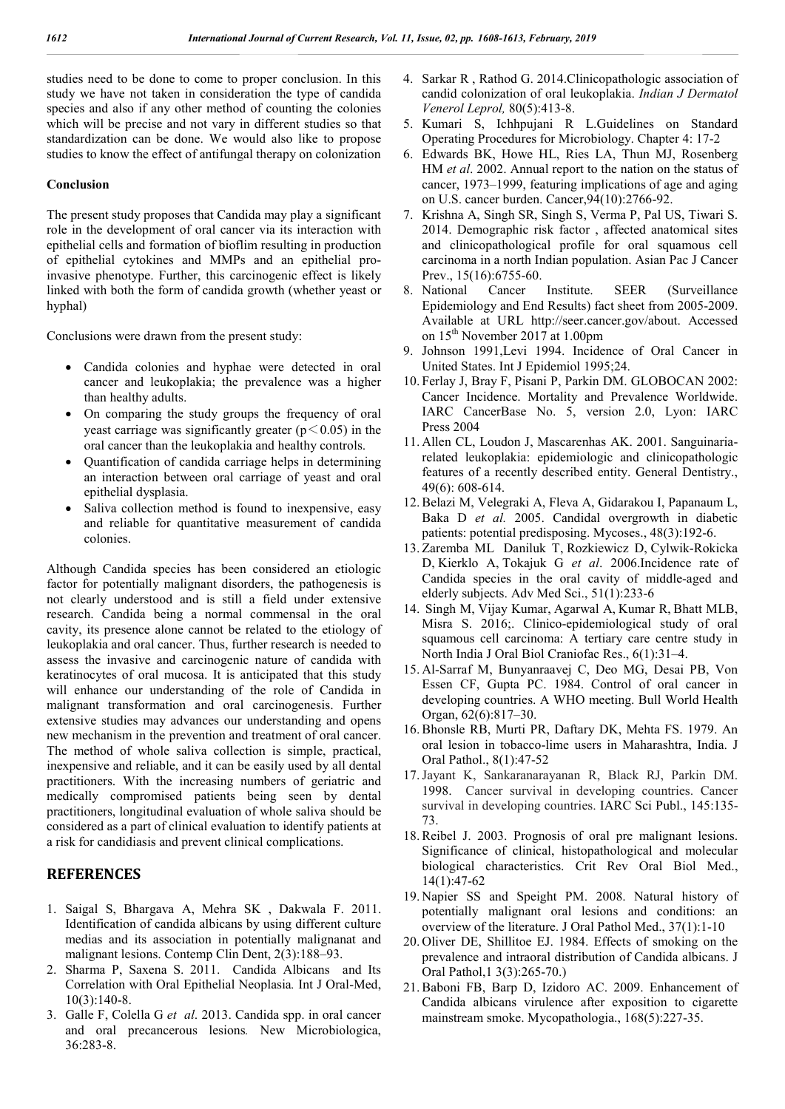studies need to be done to come to proper conclusion. In this study we have not taken in consideration the type of candida species and also if any other method of counting the colonies which will be precise and not vary in different studies so that standardization can be done. We would also like to propose studies to know the effect of antifungal therapy on colonization

#### **Conclusion**

The present study proposes that Candida may play a significant role in the development of oral cancer via its interaction with epithelial cells and formation of bioflim resulting in production of epithelial cytokines and MMPs and an epithelial proinvasive phenotype. Further, this carcinogenic effect is likely linked with both the form of candida growth (whether yeast or hyphal)

Conclusions were drawn from the present study:

- Candida colonies and hyphae were detected in oral cancer and leukoplakia; the prevalence was a higher than healthy adults.
- On comparing the study groups the frequency of oral yeast carriage was significantly greater ( $p < 0.05$ ) in the oral cancer than the leukoplakia and healthy controls.
- Ouantification of candida carriage helps in determining an interaction between oral carriage of yeast and oral epithelial dysplasia.
- Saliva collection method is found to inexpensive, easy and reliable for quantitative measurement of candida colonies.

Although Candida species has been considered an etiologic factor for potentially malignant disorders, the pathogenesis is not clearly understood and is still a field under extensive research. Candida being a normal commensal in the oral cavity, its presence alone cannot be related to the etiology of leukoplakia and oral cancer. Thus, further research is needed to assess the invasive and carcinogenic nature of candida with keratinocytes of oral mucosa. It is anticipated that this study will enhance our understanding of the role of Candida in malignant transformation and oral carcinogenesis. Further extensive studies may advances our understanding and opens new mechanism in the prevention and treatment of oral cancer. The method of whole saliva collection is simple, practical, inexpensive and reliable, and it can be easily used by all dental practitioners. With the increasing numbers of geriatric and medically compromised patients being seen by dental practitioners, longitudinal evaluation of whole saliva should be considered as a part of clinical evaluation to identify patients at a risk for candidiasis and prevent clinical complications.

## **REFERENCES**

- 1. Saigal S, Bhargava A, Mehra SK , Dakwala F. 2011. Identification of candida albicans by using different culture medias and its association in potentially malignanat and malignant lesions. Contemp Clin Dent, 2(3):188–93.
- 2. Sharma P, Saxena S. 2011. Candida Albicans and Its Correlation with Oral Epithelial Neoplasia*.* Int J Oral-Med, 10(3):140-8.
- 3. Galle F, Colella G *et al*. 2013. Candida spp. in oral cancer and oral precancerous lesions*.* New Microbiologica, 36:283-8.
- 4. Sarkar R , Rathod G. 2014.Clinicopathologic association of candid colonization of oral leukoplakia. *Indian J Dermatol Venerol Leprol,* 80(5):413-8.
- 5. Kumari S, Ichhpujani R L.Guidelines on Standard Operating Procedures for Microbiology. Chapter 4: 17-2
- 6. Edwards BK, Howe HL, Ries LA, Thun MJ, Rosenberg HM *et al*. 2002. Annual report to the nation on the status of cancer, 1973–1999, featuring implications of age and aging on U.S. cancer burden. Cancer,94(10):2766-92.
- 7. Krishna A, Singh SR, Singh S, Verma P, Pal US, Tiwari S. 2014. Demographic risk factor , affected anatomical sites and clinicopathological profile for oral squamous cell carcinoma in a north Indian population. Asian Pac J Cancer Prev., 15(16):6755-60.
- 8. National Cancer Institute. SEER (Surveillance Epidemiology and End Results) fact sheet from 2005-2009. Available at URL http://seer.cancer.gov/about. Accessed on  $15<sup>th</sup>$  November 2017 at 1.00pm
- 9. Johnson 1991,Levi 1994. Incidence of Oral Cancer in United States. Int J Epidemiol 1995;24.
- 10. Ferlay J, Bray F, Pisani P, Parkin DM. GLOBOCAN 2002: Cancer Incidence. Mortality and Prevalence Worldwide. IARC CancerBase No. 5, version 2.0, Lyon: IARC Press 2004
- 11. Allen CL, Loudon J, Mascarenhas AK. 2001. Sanguinariarelated leukoplakia: epidemiologic and clinicopathologic features of a recently described entity. General Dentistry., 49(6): 608-614.
- 12.Belazi M, Velegraki A, Fleva A, Gidarakou I, Papanaum L, Baka D *et al.* 2005. Candidal overgrowth in diabetic patients: potential predisposing. Mycoses., 48(3):192-6.
- 13. Zaremba ML Daniluk T, Rozkiewicz D, Cylwik-Rokicka D, Kierklo A, Tokajuk G *et al*. 2006.Incidence rate of Candida species in the oral cavity of middle-aged and elderly subjects. Adv Med Sci., 51(1):233-6
- 14. Singh M, Vijay Kumar, Agarwal A, Kumar R, Bhatt MLB, Misra S. 2016;. Clinico-epidemiological study of oral squamous cell carcinoma: A tertiary care centre study in North India J Oral Biol Craniofac Res., 6(1):31–4.
- 15. Al-Sarraf M, Bunyanraavej C, Deo MG, Desai PB, Von Essen CF, Gupta PC. 1984. Control of oral cancer in developing countries. A WHO meeting. Bull World Health Organ, 62(6):817–30.
- 16.Bhonsle RB, Murti PR, Daftary DK, Mehta FS. 1979. An oral lesion in tobacco-lime users in Maharashtra, India. J Oral Pathol., 8(1):47-52
- 17.Jayant K, Sankaranarayanan R, Black RJ, Parkin DM. 1998. Cancer survival in developing countries. Cancer survival in developing countries. IARC Sci Publ., 145:135- 73.
- 18.Reibel J. 2003. Prognosis of oral pre malignant lesions. Significance of clinical, histopathological and molecular biological characteristics. Crit Rev Oral Biol Med., 14(1):47-62
- 19. Napier SS and Speight PM. 2008. Natural history of potentially malignant oral lesions and conditions: an overview of the literature. J Oral Pathol Med., 37(1):1-10
- 20. Oliver DE, Shillitoe EJ. 1984. Effects of smoking on the prevalence and intraoral distribution of Candida albicans. J Oral Pathol,1 3(3):265-70.)
- 21.Baboni FB, Barp D, Izidoro AC. 2009. Enhancement of Candida albicans virulence after exposition to cigarette mainstream smoke. Mycopathologia., 168(5):227-35.